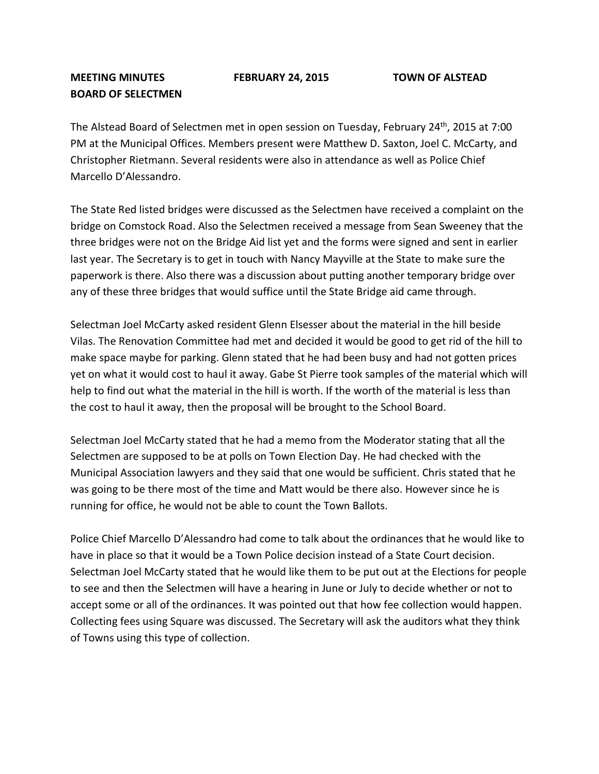## **MEETING MINUTES FEBRUARY 24, 2015 TOWN OF ALSTEAD BOARD OF SELECTMEN**

The Alstead Board of Selectmen met in open session on Tuesday, February 24<sup>th</sup>, 2015 at 7:00 PM at the Municipal Offices. Members present were Matthew D. Saxton, Joel C. McCarty, and Christopher Rietmann. Several residents were also in attendance as well as Police Chief Marcello D'Alessandro.

The State Red listed bridges were discussed as the Selectmen have received a complaint on the bridge on Comstock Road. Also the Selectmen received a message from Sean Sweeney that the three bridges were not on the Bridge Aid list yet and the forms were signed and sent in earlier last year. The Secretary is to get in touch with Nancy Mayville at the State to make sure the paperwork is there. Also there was a discussion about putting another temporary bridge over any of these three bridges that would suffice until the State Bridge aid came through.

Selectman Joel McCarty asked resident Glenn Elsesser about the material in the hill beside Vilas. The Renovation Committee had met and decided it would be good to get rid of the hill to make space maybe for parking. Glenn stated that he had been busy and had not gotten prices yet on what it would cost to haul it away. Gabe St Pierre took samples of the material which will help to find out what the material in the hill is worth. If the worth of the material is less than the cost to haul it away, then the proposal will be brought to the School Board.

Selectman Joel McCarty stated that he had a memo from the Moderator stating that all the Selectmen are supposed to be at polls on Town Election Day. He had checked with the Municipal Association lawyers and they said that one would be sufficient. Chris stated that he was going to be there most of the time and Matt would be there also. However since he is running for office, he would not be able to count the Town Ballots.

Police Chief Marcello D'Alessandro had come to talk about the ordinances that he would like to have in place so that it would be a Town Police decision instead of a State Court decision. Selectman Joel McCarty stated that he would like them to be put out at the Elections for people to see and then the Selectmen will have a hearing in June or July to decide whether or not to accept some or all of the ordinances. It was pointed out that how fee collection would happen. Collecting fees using Square was discussed. The Secretary will ask the auditors what they think of Towns using this type of collection.